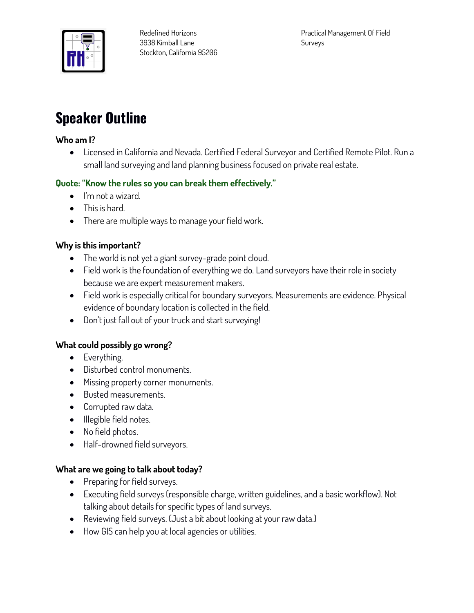

# **Speaker Outline**

#### **Who am I?**

• **Licensed in California and Nevada. Certified Federal Surveyor and Certified Remote Pilot. Run a small land surveying and land planning business focused on private real estate.**

## **Quote: "Know the rules so you can break them effectively."**

- **I'm not a wizard.**
- **This is hard.**
- **There are multiple ways to manage your field work.**

## **Why is this important?**

- **The world is not yet a giant survey-grade point cloud.**
- **Field work is the foundation of everything we do. Land surveyors have their role in society because we are expert measurement makers.**
- **Field work is especially critical for boundary surveyors. Measurements are evidence. Physical evidence of boundary location is collected in the field.**
- **Don't just fall out of your truck and start surveying!**

#### **What could possibly go wrong?**

- **Everything.**
- **Disturbed control monuments.**
- **Missing property corner monuments.**
- **Busted measurements.**
- **Corrupted raw data.**
- **Illegible field notes.**
- **No field photos.**
- **Half-drowned field surveyors.**

#### **What are we going to talk about today?**

- **Preparing for field surveys.**
- **Executing field surveys (responsible charge, written guidelines, and a basic workflow). Not talking about details for specific types of land surveys.**
- **Reviewing field surveys. (Just a bit about looking at your raw data.)**
- **How GIS can help you at local agencies or utilities.**